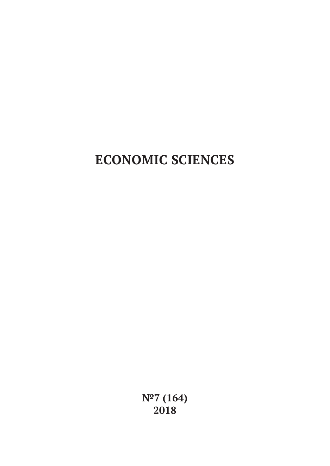# **ECONOMIC SCIENCES**

**№7 (164) 2018**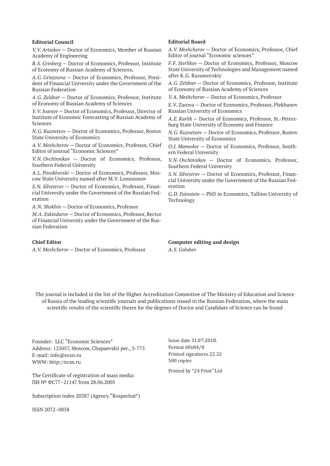#### **Editorial Council**

*V.V. Artiakov* — Doctor of Economics, Member of Russian Academy of Engineering

*R.S. Grinberg* — Doctor of Economics, Professor, Institute of Economy of Russian Academy of Sciences,

*A.G. Griaznova* — Doctor of Economics, Professor, President of Financial University under the Government of the Russian Federation

*A.G. Zeldner* — Doctor of Economics, Professor, Institute of Economy of Russian Academy of Sciences

*V.V. Ivanter* — Doctor of Economics, Professor, Director of Institute of Economic Forecasting of Russian Academy of Sciences

*N.G. Kuznetsov* — Doctor of Economics, Professor, Rostov State University of Economics

*A.V. Meshcherov* — Doctor of Economics, Professor, Chief Editor of journal "Economic Sciences"

*V.N. Ovchinnikov* — Doctor of Economics, Professor, Southern Federal University

*A.L. Porokhovski* — Doctor of Economics, Professor, Moscow State University named after M.V. Lomonosov

*S.N. Silvestrov* — Doctor of Economics, Professor, Financial University under the Government of the Russian Federation

*A.N. Shokhin* — Doctor of Economics, Professor

*M.A. Eskindarov* — Doctor of Economics, Professor, Rector of Financial University under the Government of the Russian Federation

#### **Chief Editor**

*A.V. Meshcherov* — Doctor of Economics, Professor

#### **Editorial Board**

*A.V. Meshcherov* — Doctor of Economics, Professor, Chief Editor of journal "Economic sciences"

*F.F. Sterlikov* — Doctor of Economics, Professor, Moscow State University of Technologies and Management named after K.G. Razumovskiy

*A.G. Zeldner* — Doctor of Economics, Professor, Institute of Economy of Russian Academy of Sciences

*V.A. Meshcherov* — Doctor of Economics, Professor

E.V. Zarova — Doctor of Economics, Professor, Plekhanov Russian University of Economics

*A.E. Karlik* — Doctor of Economics, Professor, St.-Petersburg State University of Economy and Finance

*N.G. Kuznetsov* — Doctor of Economics, Professor, Rostov State University of Economics

*O.J. Mamedov* — Doctor of Economics, Professor, Southern Federal University

*V.N. Ovchinnikov* — Doctor of Economics, Professor, Southern Federal University

*S.N. Silvestrov* — Doctor of Economics, Professor, Financial University under the Government of the Russian Federation

*G.D. Fainstein* — PhD in Economics, Tallinn University of Technology

**Computer editing and design** *A.S. Golubev*

The journal is included in the list of the Higher Accreditation Committee of The Ministry of Education and Science of Russia of the leading scientific journals and publications issued in the Russian Federation, where the main scientific results of the scientific theses for the degrees of Doctor and Candidate of Science can be found

Founder: LLC "Economic Sciences" Address: 125057, Moscow, Chapaevskii per., 3-775 E-mail: info@ecsn.ru WWW: http://ecsn.ru

The Certificate of registration of mass media: ПИ № ФС77–21147 from 28.06.2005

Subscription index 20387 (Agency "Rospechat")

ISSN 2072–0858

Issue date 31.07.2018. Format 60х84/8 Printed signatures 22.32 500 copies

Printed by "24 Print" Ltd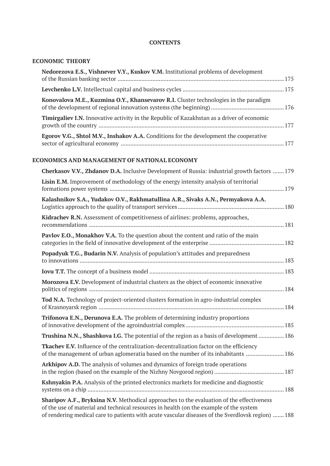#### **CONTENTS**

### **ECONOMIC THEORY**

| Nedorezova E.S., Vishnever V.Y., Kuskov V.M. Institutional problems of development                |  |
|---------------------------------------------------------------------------------------------------|--|
|                                                                                                   |  |
| Konovalova M.E., Kuzmina O.Y., Khansevarov R.I. Cluster technologies in the paradigm              |  |
| <b>Timirgaliev I.N.</b> Innovative activity in the Republic of Kazakhstan as a driver of economic |  |
| Egorov V.G., Shtol M.V., Inshakov A.A. Conditions for the development the cooperative             |  |

#### **ECONOMICS AND MANAGEMENT OF NATIONAL ECONOMY**

| Cherkasov V.V., Zhdanov D.A. Inclusive Development of Russia: industrial growth factors  179                                                                                                                                                                                             |
|------------------------------------------------------------------------------------------------------------------------------------------------------------------------------------------------------------------------------------------------------------------------------------------|
| Lisin E.M. Improvement of methodology of the energy intensity analysis of territorial                                                                                                                                                                                                    |
| Kalashnikov S.A., Yudakov O.V., Rakhmatullina A.R., Sivaks A.N., Permyakova A.A.                                                                                                                                                                                                         |
| Kidrachev R.N. Assessment of competitiveness of airlines: problems, approaches,                                                                                                                                                                                                          |
| Pavlov E.O., Monakhov V.A. To the question about the content and ratio of the main                                                                                                                                                                                                       |
| Popadyuk T.G., Budarin N.V. Analysis of population's attitudes and preparedness                                                                                                                                                                                                          |
|                                                                                                                                                                                                                                                                                          |
| Morozova E.V. Development of industrial clusters as the object of economic innovative                                                                                                                                                                                                    |
| Tod N.A. Technology of project-oriented clusters formation in agro-industrial complex                                                                                                                                                                                                    |
| Trifonova E.N., Derunova E.A. The problem of determining industry proportions                                                                                                                                                                                                            |
| Trushina N.N., Shashkova I.G. The potential of the region as a basis of development  186                                                                                                                                                                                                 |
| <b>Tkachev E.V.</b> Influence of the centralization-decentralization factor on the efficiency<br>of the management of urban aglomeratia based on the number of its inhabitants  186                                                                                                      |
| Arkhipov A.D. The analysis of volumes and dynamics of foreign trade operations                                                                                                                                                                                                           |
| Kshnyakin P.A. Analysis of the printed electronics markets for medicine and diagnostic                                                                                                                                                                                                   |
| Sharipov A.F., Bryksina N.V. Methodical approaches to the evaluation of the effectiveness<br>of the use of material and technical resources in health (on the example of the system<br>of rendering medical care to patients with acute vascular diseases of the Sverdlovsk region)  188 |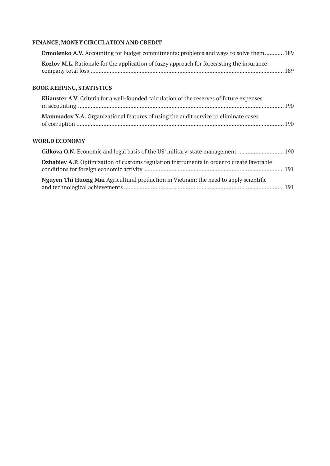# **FINANCE, MONEY CIRCULATION AND CREDIT**

| <b>Ermolenko A.V.</b> Accounting for budget commitments: problems and ways to solve them 189 |       |
|----------------------------------------------------------------------------------------------|-------|
| Kozlov M.L. Rationale for the application of fuzzy approach for forecasting the insurance    | - 189 |
| <b>BOOK KEEPING, STATISTICS</b>                                                              |       |
| Kliauster A.V. Criteria for a well-founded calculation of the reserves of future expenses    |       |

| <b>RHUUSEE TI, V,</b> CHIEHU IOI U WEII IOUHUCU CURUULIOII OI HIC ICSCI VES OI IURUIC CAPENSES |  |
|------------------------------------------------------------------------------------------------|--|
|                                                                                                |  |
|                                                                                                |  |
| Mammadov Y.A. Organizational features of using the audit service to eliminate cases            |  |
|                                                                                                |  |
|                                                                                                |  |

#### **WORLD ECONOMY**

| <b>Dzhabiev A.P.</b> Optimization of customs regulation instruments in order to create favorable |  |
|--------------------------------------------------------------------------------------------------|--|
| <b>Nguyen Thi Huong Mai</b> Agricultural production in Vietnam: the need to apply scientific     |  |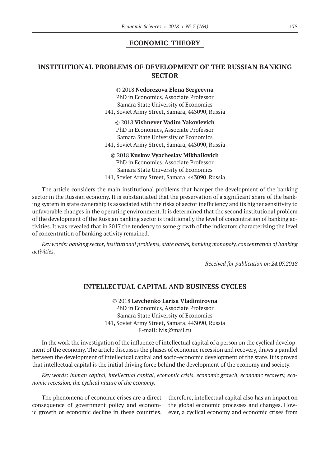#### **ECONOMIC THEORY**

# **INSTITUTIONAL PROBLEMS OF DEVELOPMENT OF THE RUSSIAN BANKING SECTOR**

©© 2018 **Nedorezova Elena Sergeevna** PhD in Economics, Associate Professor Samara State University of Economics 141, Soviet Army Street, Samara, 443090, Russia

©© 2018 **Vishnever Vadim Yakovlevich** PhD in Economics, Associate Professor Samara State University of Economics 141, Soviet Army Street, Samara, 443090, Russia

©© 2018 **Kuskov Vyacheslav Mikhailovich** PhD in Economics, Associate Professor Samara State University of Economics 141, Soviet Army Street, Samara, 443090, Russia

The article considers the main institutional problems that hamper the development of the banking sector in the Russian economy. It is substantiated that the preservation of a significant share of the banking system in state ownership is associated with the risks of sector inefficiency and its higher sensitivity to unfavorable changes in the operating environment. It is determined that the second institutional problem of the development of the Russian banking sector is traditionally the level of concentration of banking activities. It was revealed that in 2017 the tendency to some growth of the indicators characterizing the level of concentration of banking activity remained.

*Key words: banking sector, institutional problems, state banks, banking monopoly, concentration of banking activities.*

*Received for publication on 24.07.2018*

#### **INTELLECTUAL CAPITAL AND BUSINESS CYCLES**

©© 2018 **Levchenko Larisa Vladimirovna** PhD in Economics, Associate Professor Samara State University of Economics 141, Soviet Army Street, Samara, 443090, Russia E-mail: lvls@mail.ru

In the work the investigation of the influence of intellectual capital of a person on the cyclical development of the economy. The article discusses the phases of economic recession and recovery, draws a parallel between the development of intellectual capital and socio-economic development of the state. It is proved that intellectual capital is the initial driving force behind the development of the economy and society.

*Key words: human capital, intellectual capital, economic crisis, economic growth, economic recovery, economic recession, the cyclical nature of the economy.*

The phenomena of economic crises are a direct consequence of government policy and economic growth or economic decline in these countries, therefore, intellectual capital also has an impact on the global economic processes and changes. However, a cyclical economy and economic crises from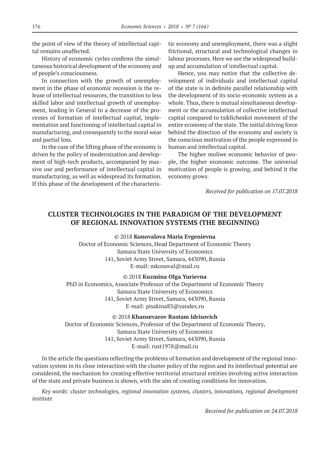the point of view of the theory of intellectual capital remains unaffected.

History of economic cycles confirms the simultaneous historical development of the economy and of people's consciousness.

In connection with the growth of unemployment in the phase of economic recession is the release of intellectual resources, the transition to less skilled labor and intellectual growth of unemployment, leading in General to a decrease of the processes of formation of intellectual capital, implementation and functioning of intellectual capital in manufacturing, and consequently to the moral wear and partial loss.

In the case of the lifting phase of the economy is driven by the policy of modernization and development of high-tech products, accompanied by massive use and performance of intellectual capital in manufacturing, as well as widespread its formation. If this phase of the development of the characteristic economy and unemployment, there was a slight frictional, structural and technological changes in labour processes. Here we see the widespread buildup and accumulation of intellectual capital.

Hence, you may notice that the collective development of individuals and intellectual capital of the state is in definite parallel relationship with the development of its socio-economic system as a whole. Thus, there is mutual simultaneous development or the accumulation of collective intellectual capital compared to tsiklicheskoi movement of the entire economy of the state. The initial driving force behind the direction of the economy and society is the conscious motivation of the people expressed in human and intellectual capital.

The higher moliwe economic behavior of people, the higher economic outcome. The universal motivation of people is growing, and behind it the economy grows.

*Received for publication on 17.07.2018*

# **CLUSTER TECHNOLOGIES IN THE PARADIGM OF THE DEVELOPMENT OF REGIONAL INNOVATION SYSTEMS (THE BEGINNING)**

©© 2018 **Konovalova Maria Evgenievna** Doctor of Economic Sciences, Head Department of Economic Theory Samara State University of Economics 141, Soviet Army Street, Samara, 443090, Russia E-mail: mkonoval@mail.ru

©© 2018 **Kuzmina Olga Yurievna**

PhD in Economics, Associate Professor of the Department of Economic Theory Samara State University of Economics 141, Soviet Army Street, Samara, 443090, Russia E-mail: pisakina83@yandex.ru

©© 2018 **Khansevarov Rustam Idrisovich**

Doctor of Economic Sciences, Professor of the Department of Economic Theory, Samara State University of Economics 141, Soviet Army Street, Samara, 443090, Russia E-mail: rust1978@mail.ru

In the article the questions reflecting the problems of formation and development of the regional innovation system in its close interaction with the cluster policy of the region and its intellectual potential are considered, the mechanism for creating effective territorial structural entities involving active interaction of the state and private business is shown, with the aim of creating conditions for innovation.

*Key words: cluster technologies, regional innovation systems, clusters, innovations, regional development institute*

*Received for publication on 24.07.2018*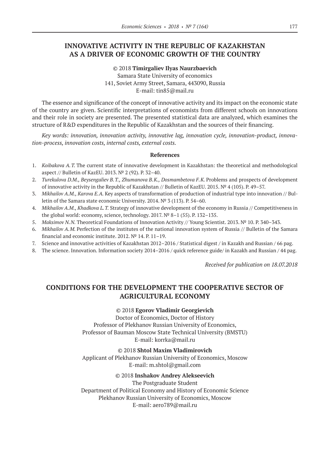# **INNOVATIVE ACTIVITY IN THE REPUBLIC OF KAZAKHSTAN AS A DRIVER OF ECONOMIC GROWTH OF THE COUNTRY**

©© 2018 **Timirgaliev Ilyas Naurzbaevich** Samara State University of economics 141, Soviet Army Street, Samara, 443090, Russia E-mail: tin85@mail.ru

The essence and significance of the concept of innovative activity and its impact on the economic state of the country are given. Scientific interpretations of economists from different schools on innovations and their role in society are presented. The presented statistical data are analyzed, which examines the structure of R&D expenditures in the Republic of Kazakhstan and the sources of their financing.

*Key words: innovation, innovation activity, innovative lag, innovation cycle, innovation-product, innovation-process, innovation costs, internal costs, external costs.*

#### **References**

- 1. *Koibakova A.T.* The current state of innovative development in Kazakhstan: the theoretical and methodological aspect // Bulletin of KazEU. 2013. № 2 (92). P. 32–40.
- 2. *Turekulova D.M., Beysengaliev B.T., Zhumanova B.K., Dosmambetova F.K.* Problems and prospects of development of innovative activity in the Republic of Kazakhstan // Bulletin of KazEU. 2015. № 4 (105). P. 49–57.
- 3. *Mikhailov A.M., Karova E.A.* Key aspects of transformation of production of industrial type into innovation // Bulletin of the Samara state economic University. 2014. № 3 (113). P. 54–60.
- 4. *Mikhailov A.M., Khadkova L.T.* Strategy of innovative development of the economy in Russia // Competitiveness in the global world: economy, science, technology. 2017.  $N^{\circ}$  8–1 (55). P. 132–135.
- 5. *Maksimov N.N.* Theoretical Foundations of Innovation Activity // Young Scientist. 2013. № 10. P. 340–343.
- 6. *Mikhailov A.M.* Perfection of the institutes of the national innovation system of Russia // Bulletin of the Samara financial and economic institute. 2012. № 14. P. 11–19.
- 7. Science and innovative activities of Kazakhstan 2012–2016 / Statistical digest / in Kazakh and Russian / 66 pag.
- 8. The science. Innovation. Information society 2014–2016 / quick reference guide/ in Kazakh and Russian / 44 pag.

*Received for publication on 18.07.2018*

# **CONDITIONS FOR THE DEVELOPMENT THE COOPERATIVE SECTOR OF AGRICULTURAL ECONOMY**

#### ©© 2018 **Egorov Vladimir Georgievich**

Doctor of Economics, Doctor of History Professor of Plekhanov Russian University of Economics, Professor of Bauman Moscow State Technical University (BMSTU) Е-mail: korrka@mail.ru

©© 2018 **Shtol Maxim Vladimirovich** Applicant of Plekhanov Russian University of Economics, Moscow Е-mail: m.shtol@gmail.com

#### ©© 2018 **Inshakov Andrey Alekseevich**

The Postgraduate Student Department of Political Economy and History of Economic Science Plekhanov Russian University of Economics, Moscow Е-mail: aero789@mail.ru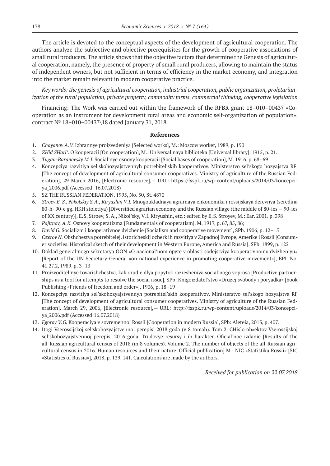The article is devoted to the conceptual aspects of the development of agricultural cooperation. The authors analyze the subjective and objective prerequisites for the growth of cooperative associations of small rural producers. The article shows that the objective factors that determine the Genesis of agricultural cooperation, namely, the presence of property of small rural producers, allowing to maintain the status of independent owners, but not sufficient in terms of efficiency in the market economy, and integration into the market remain relevant in modern cooperative practice.

*Key words: the genesis of agricultural cooperation, industrial cooperation, public organization, proletarianization of the rural population, private property, commodity farms, commercial thinking, cooperative legislation*

Financing: The Work was carried out within the framework of the RFBR grant 18–010–00437 «Cooperation as an instrument for development rural areas and economic self-organization of population», contract № 18–010–00437\18 dated January 31, 2018.

#### **References**

- 1. *Chayanov A.V.* Izbrannye proizvedeniya [Selected works], M.: Moscow worker, 1989, p. 190
- 2. *ZHid SHarl'*. O kooperacii [On cooperation], M.: Universal'naya biblioteka [Universal library], 1915, p. 21.
- 3. *Tugan-Baranovsky M.I.* Social'nye osnovy kooperacii [Social bases of cooperation], M. 1916, p. 68–69
- 4. Koncepciya razvitiya sel'skohozyajstvennyh potrebitel'skih kooperativov. Ministerstvo sel'skogo hozyajstva RF, [The concept of development of agricultural consumer cooperatives. Ministry of agriculture of the Russian Federation], 29 March 2016, [Electronic resource], - URL: https://fsspk.ru/wp-content/uploads/2014/03/koncepciya\_2006.pdf (Accessed: 16.07.2018)
- 5. SZ THE RUSSIAN FEDERATION, 1995, No. 50, St. 4870
- 6. *Stroev E. S., Nikolskiy S.A., Kiryushin V.I.* Mnogoukladnaya agrarnaya ehkonomika i rossijskaya derevnya (seredina 80-h- 90-e gg. HKH stoletiya) [Diversified agrarian economy and the Russian village (the middle of 80-ies — 90-ies of XX century)], E.S. Stroev, S. A., Nikol'sky, V.I. Kiryushin, etc.: edited by E.S. Stroyev, M.: Ear. 2001. p. 398
- 7. *Pajitnov, A.K.* Osnovy kooperatizma [Fundamentals of cooperatism], M. 1917, p. 67, 85, 86;
- 8. *David G.* Socializm i kooperativnoe dvizhenie [Socialism and cooperative movement], SPb. 1906, р. 12–15
- 9. *Ozerov N.* Obshchestva potrebitelej. Istoricheskij ocherk ih razvitiya v Zapadnoj Evrope, Amerike i Rossii [Consumer societies. Historical sketch of their development in Western Europe, America and Russia], SPb, 1899, p. 122
- 10. Doklad general'nogo sekretarya OON «O nacional'nom opyte v oblasti sodejstviya kooperativnomu dvizheniyu» [Report of the UN Secretary-General «on national experience in promoting cooperative movement»], BPI. No. 41.27.2, 1989. р. 3–13
- 11. Proizvoditel'nye tovarishchestva, kak orudie dlya popytok razresheniya social'nogo voprosa [Productive partnerships as a tool for attempts to resolve the social issue], SPb: Knigoizdatel'stvo «Druzej svobody i poryadka» [book Publishing «Friends of freedom and order»], 1906, p. 18–19
- 12. Koncepciya razvitiya sel'skohozyajstvennyh potrebitel'skih kooperativov. Ministerstvo sel'skogo hozyajstva RF [The concept of development of agricultural consumer cooperatives. Ministry of agriculture of the Russian Federation]. March 29, 2006, [Electronic resource],— URL: http://fsspk.ru/wp-content/uploads/2014/03/koncepciya\_2006.pdf (Accessed:16.07.2018)
- 13. *Egorov V.G.* Kooperaciya v sovremennoj Rossii [Cooperation in modern Russia], SPb: Аleteia, 2013, p. 407.
- 14. Itogi Vserossijskoj sel'skohozyajstvennoj perepisi 2018 goda (v 8 tomah). Tom 2. CHislo ob»ektov Vserossijskoj sel'skohozyajstvennoj perepisi 2016 goda. Trudovye resursy i ih harakter. Oficial'noe izdanie [Results of the all-Russian agricultural census of 2018 (in 8 volumes). Volume 2. The number of objects of the all-Russian agricultural census in 2016. Human resources and their nature. Official publication] M.: NIC «Statistika Rossii» [SIC «Statistics of Russia»], 2018, p. 139, 141. Calculations are made by the authors.

*Received for publication on 22.07.2018*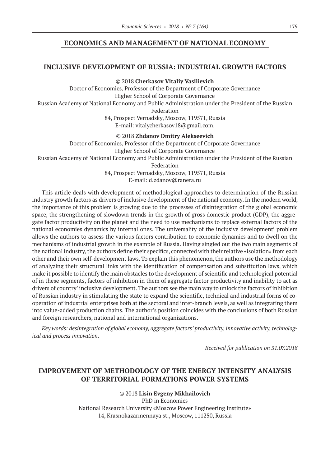#### **ECONOMICS AND MANAGEMENT OF NATIONAL ECONOMY**

#### **INCLUSIVE DEVELOPMENT OF RUSSIA: INDUSTRIAL GROWTH FACTORS**

©© 2018 **Cherkasov Vitaliy Vasilievich** Doctor of Economics, Professor of the Department of Corporate Governance Higher School of Corporate Governance Russian Academy of National Economy and Public Administration under the President of the Russian Federation 84, Prospect Vernadsky, Moscow, 119571, Russia E-mail: vitalycherkasov18@gmail.com.

©© 2018 **Zhdanov Dmitry Alekseevich** Doctor of Economics, Professor of the Department of Corporate Governance Higher School of Corporate Governance Russian Academy of National Economy and Public Administration under the President of the Russian Federation 84, Prospect Vernadsky, Moscow, 119571, Russia E-mail: d.zdanov@ranera.ru

This article deals with development of methodological approaches to determination of the Russian industry growth factors as drivers of inclusive development of the national economy. In the modern world, the importance of this problem is growing due to the processes of disintegration of the global economic space, the strengthening of slowdown trends in the growth of gross domestic product (GDP), the aggregate factor productivity on the planet and the need to use mechanisms to replace external factors of the national economies dynamics by internal ones. The universality of the inclusive development' problem allows the authors to assess the various factors contribution to economic dynamics and to dwell on the mechanisms of industrial growth in the example of Russia. Having singled out the two main segments of the national industry, the authors define their specifics, connected with their relative «isolation» from each other and their own self-development laws. To explain this phenomenon, the authors use the methodology of analyzing their structural links with the identification of compensation and substitution laws, which make it possible to identify the main obstacles to the development of scientific and technological potential of in these segments, factors of inhibition in them of aggregate factor productivity and inability to act as drivers of country' inclusive development. The authors see the main way to unlock the factors of inhibition of Russian industry in stimulating the state to expand the scientific, technical and industrial forms of cooperation of industrial enterprises both at the sectoral and inter-branch levels, as well as integrating them into value-added production chains. The author's position coincides with the conclusions of both Russian and foreign researchers, national and international organizations.

*Key words: desintegration of global economy, aggregate factors' productivity, innovative activity, technological and process innovation.*

*Received for publication on 31.07.2018*

# **IMPROVEMENT OF METHODOLOGY OF THE ENERGY INTENSITY ANALYSIS OF TERRITORIAL FORMATIONS POWER SYSTEMS**

©© 2018 **Lisin Evgeny Mikhailovich** PhD in Economics National Research University «Moscow Power Engineering Institute» 14, Krasnokazarmennaya st., Moscow, 111250, Russia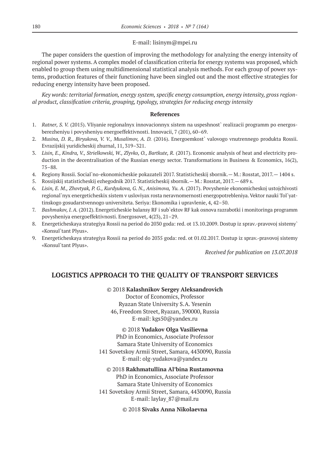#### E-mail: lisinym@mpei.ru

The paper considers the question of improving the methodology for analyzing the energy intensity of regional power systems. A complex model of classification criteria for energy systems was proposed, which enabled to group them using multidimensional statistical analysis methods. For each group of power systems, production features of their functioning have been singled out and the most effective strategies for reducing energy intensity have been proposed.

*Key words: territorial formation, energy system, specific energy consumption, energy intensity, gross regional product, classification criteria, grouping, typology, strategies for reducing energy intensity*

#### **References**

- 1. *Ratner, S. V.* (2015). Vliyanie regionalnyx innovacionnyx sistem na uspeshnost` realizacii programm po energosberezheniyu i povysheniyu energoeffektivnosti. Innovacii, 7 (201), 60–69.
- 2. *Musina, D. R., Biryukova, V. V., Musalimov, A. D.* (2016). Energoemkost` valovogo vnutrennego produkta Rossii. Evrazijskij yuridicheskij zhurnal, 11, 319–321.
- 3. *Lisin, E., Kindra, V., Strielkowski, W., Zlyvko, O., Bartkute, R.* (2017). Economic analysis of heat and electricity production in the decentralisation of the Russian energy sector. Transformations in Business & Economics, 16(2), 75–88.
- 4. Regiony Rossii. Social`no-ekonomicheskie pokazateli 2017. Statisticheskij sbornik.— M.: Rosstat, 2017.— 1404 s.
- 5. Rossijskij statisticheskij ezhegodnik 2017. Statisticheskij sbornik.— M.: Rosstat, 2017.— 689 s.
- 6. *Lisin, E. M., Zhovtyak, P. G., Kurdyukova, G. N., Anisimova, Yu. A.* (2017). Povyshenie ekonomicheskoj ustojchivosti regional`nyx energeticheskix sistem v usloviyax rosta neravnomernosti energopotrebleniya. Vektor nauki Tol`yattinskogo gosudarstvennogo universiteta. Seriya: Ekonomika i upravlenie, 4, 42–50.
- 7. *Bashmakov, I. A.* (2012). Energeticheskie balansy RF i sub`ektov RF kak osnova razrabotki i monitoringa programm povysheniya energoeffektivnosti. Energosovet, 4(23), 21–29.
- 8. Energeticheskaya strategiya Rossii na period do 2030 goda: red. ot 13.10.2009. Dostup iz sprav.-pravovoj sistemy` «Konsul`tant Plyus».
- 9. Energeticheskaya strategiya Rossii na period do 2035 goda: red. ot 01.02.2017. Dostup iz sprav.-pravovoj sistemy «Konsul`tant Plyus».

*Received for publication on 13.07.2018*

# **LOGISTICS APPROACH TO THE QUALITY OF TRANSPORT SERVICES**

#### ©© 2018 **Kalashnikov Sergey Aleksandrovich**

Doctor of Economics, Professor Ryazan State University S.A. Yesenin 46, Freedom Street, Ryazan, 390000, Russia E-mail: kgs50@yandex.ru

#### ©© 2018 **Yudakov Olga Vasilievna**

PhD in Economics, Associate Professor Samara State University of Economics 141 Sovetskoy Armii Street, Samara, 4430090, Russia E-mail: olg-yudakova@yandex.ru

©© 2018 **Rakhmatullina Al'bina Rustamovna**

PhD in Economics, Associate Professor Samara State University of Economics 141 Sovetskoy Armii Street, Samara, 4430090, Russia E-mail: laylay\_87@mail.ru

©© 2018 **Sivaks Anna Nikolaevna**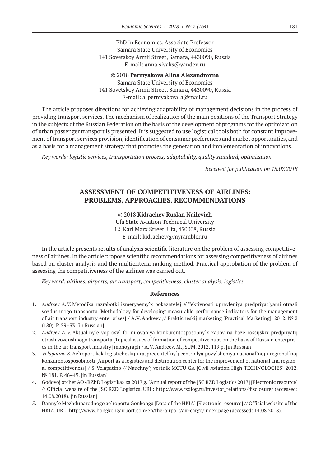PhD in Economics, Associate Professor Samara State University of Economics 141 Sovetskoy Armii Street, Samara, 4430090, Russia E-mail: anna.sivaks@yandex.ru

©© 2018 **Permyakova Alina Alexandrovna** Samara State University of Economics 141 Sovetskoy Armii Street, Samara, 4430090, Russia E-mail: a\_permyakova\_a@mail.ru

The article proposes directions for achieving adaptability of management decisions in the process of providing transport services. The mechanism of realization of the main positions of the Transport Strategy in the subjects of the Russian Federation on the basis of the development of programs for the optimization of urban passenger transport is presented. It is suggested to use logistical tools both for constant improvement of transport services provision, identification of consumer preferences and market opportunities, and as a basis for a management strategy that promotes the generation and implementation of innovations.

*Key words: logistic services, transportation process, adaptability, quality standard, optimization.*

*Received for publication on 15.07.2018*

# **ASSESSMENT OF COMPETITIVENESS OF AIRLINES: PROBLEMS, APPROACHES, RECOMMENDATIONS**

©© 2018 **Kidrachev Ruslan Nailevich**

Ufa State Aviation Technical University 12, Karl Marx Street, Ufa, 450008, Russia

E-mail: kidrachev@myrambler.ru

In the article presents results of analysis scientific literature on the problem of assessing competitiveness of airlines. In the article propose scientific recommendations for assessing competitiveness of airlines based on cluster analysis and the multicriteria ranking method. Practical approbation of the problem of assessing the competitiveness of the airlines was carried out.

*Key word: airlines, airports, air transport, competitiveness, cluster analysis, logistics.*

#### **References**

- 1. *Andreev A.V.* Metodika razrabotki izmeryaemy`x pokazatelej e`ffektivnosti upravleniya predpriyatiyami otrasli vozdushnogo transporta [Methodology for developing measurable performance indicators for the management of air transport industry enterprises] / A.V. Andreev // Prakticheskij marketing [Practical Marketing]. 2012. № 2 (180). P. 29–33. [in Russian]
- 2. *Andreev A.V.* Aktual`ny`e voprosy` formirovaniya konkurentosposobny`x xabov na baze rossijskix predpriyatij otrasli vozdushnogo transporta [Topical issues of formation of competitive hubs on the basis of Russian enterprises in the air transport industry] monograph / A.V. Andreev. M., SUM. 2012. 119 p. [in Russian]
- 3. *Velapatino S.* Ae`roport kak logisticheskij i raspredelitel`ny`j centr dlya povy`sheniya nacional`noj i regional`noj konkurentosposobnosti [Airport as a logistics and distribution center for the improvement of national and regional competitiveness] / S. Velapatino // Nauchny`j vestnik MGTU GA [Civil Aviation High TECHNOLOGIES] 2012. № 181. P. 46–49. [in Russian]
- 4. Godovoj otchet AO «RZhD Logistika» za 2017 g. [Annual report of the JSC RZD Logistics 2017] [Electronic resource] // Official website of the JSC RZD Logistics. URL: http://www.rzdlog.ru/investor\_relations/disclosure/ (accessed: 14.08.2018). [in Russian]
- 5. Danny`e Mezhdunarodnogo ae`roporta Gonkonga [Data of the HKIA] [Electronic resource] // Official website of the HKIA. URL: http://www.hongkongairport.com/en/the-airport/air-cargo/index.page (accessed: 14.08.2018).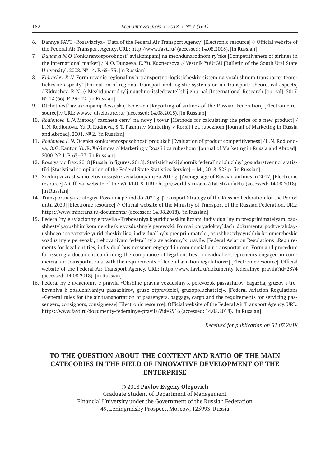- 6. Dannye FAVT «Rosaviaciya» [Data of the Federal Air Transport Agency] [Electronic resource] // Official website of the Federal Air Transport Agency. URL: http://www.favt.ru/ (accessed: 14.08.2018). [in Russian]
- 7. *Dunaeva N.O.* Konkurentosposobnost` aviakompanij na mezhdunarodnom ry`nke [Competitiveness of airlines in the international market] / N.O. Dunaeva, E. Yu. Kuzneczova // Vestnik YuUrGU [Bulletin of the South Ural State University]. 2008. № 14. P. 65–73. [in Russian]
- 8. *Kidrachev R.N.* Formirovanie regional`ny`x transportno-logisticheskix sistem na vozdushnom transporte: teoreticheskie aspekty` [Formation of regional transport and logistic systems on air transport: theoretical aspects] / Kidrachev R.N. // Mezhdunarodny`j nauchno-issledovatel`skij zhurnal [International Research Journal]. 2017. № 12 (66). P. 39–42. [in Russian]
- 9. Otchetnost` aviakompanij Rossijskoj Federacii [Reporting of airlines of the Russian Federation] [Electronic resource] // URL: www.e-disclosure.ru/ (accessed: 14.08.2018). [in Russian]
- 10. *Rodionova L.N.* Metody` rascheta ceny` na novy`j tovar [Methods for calculating the price of a new product] / L.N. Rodionova, Yu.R. Rudneva, S.T. Pashin // Marketing v Rossii i za rubezhom [Journal of Marketing in Russia and Abroad]. 2001. № 2. [in Russian]
- 11. *Rodionova L.N.* Ocenka konkurentosposobnosti produkcii [Evaluation of product competitiveness] / L.N. Rodionova, O.G. Kantor, Yu.R. Xakimova // Marketing v Rossii i za rubezhom [Journal of Marketing in Russia and Abroad]. 2000. № 1. P. 63–77. [in Russian]
- 12. Rossiya v cifrax. 2018 [Russia in figures. 2018]. Statisticheskij sbornik federal`noj sluzhby` gosudarstvennoj statistiki [Statistical compilation of the Federal State Statistics Service] — M., 2018. 522 p. [in Russian]
- 13. Srednij vozrast samoletov rossijskix aviakompanij za 2017 g. [Average age of Russian airlines in 2017] [Electronic resource] // Official website of the WORLD-S. URL: http://world-s.ru/avia/statistikaifakti/ (accessed: 14.08.2018). [in Russian]
- 14. Transportnaya strategiya Rossii na period do 2030 g. [Transport Strategy of the Russian Federation for the Period until 2030] [Electronic resource] // Official website of the Ministry of Transport of the Russian Federation. URL: https://www.mintrans.ru/documents/ (accessed: 14.08.2018). [in Russian]
- 15. Federal`ny`e aviacionny`e pravila «Trebovaniya k yuridicheskim liczam, individual`ny`m predprinimatelyam, osushhestvlyayushhim kommercheskie vozdushny`e perevozki. Forma i poryadok vy`dachi dokumenta, podtverzhdayushhego sootvetstvie yuridicheskix licz, individual`ny`x predprinimatelej, osushhestvlyayushhix kommercheskie vozdushny`e perevozki, trebovaniyam federal`ny`x aviacionny`x pravil». [Federal Aviation Regulations «Requirements for legal entities, individual businessmen engaged in commercial air transportation. Form and procedure for issuing a document confirming the compliance of legal entities, individual entrepreneurs engaged in commercial air transportations, with the requirements of federal aviation regulations»] [Electronic resource]. Official website of the Federal Air Transport Agency. URL: https://www.favt.ru/dokumenty-federalnye-pravila?id=2874 (accessed: 14.08.2018). [in Russian]
- 16. Federal`ny`e aviacionny`e pravila «Obshhie pravila vozdushny`x perevozok passazhirov, bagazha, gruzov i trebovaniya k obsluzhivaniyu passazhirov, gruzo-otpravitelej, gruzopoluchatelej». [Federal Aviation Regulations «General rules for the air transportation of passengers, baggage, cargo and the requirements for servicing passengers, consignors, consignees»] [Electronic resource]. Official website of the Federal Air Transport Agency. URL: https://www.favt.ru/dokumenty-federalnye-pravila/?id=2916 (accessed: 14.08.2018). [in Russian]

*Received for publication on 31.07.2018*

# **TO THE QUESTION ABOUT THE CONTENT AND RATIO OF THE MAIN CATEGORIES IN THE FIELD OF INNOVATIVE DEVELOPMENT OF THE ENTERPRISE**

#### ©© 2018 **Pavlov Evgeny Olegovich**

Graduate Student of Department of Management Financial University under the Government of the Russian Federation 49, Leningradsky Prospect, Moscow, 125993, Russia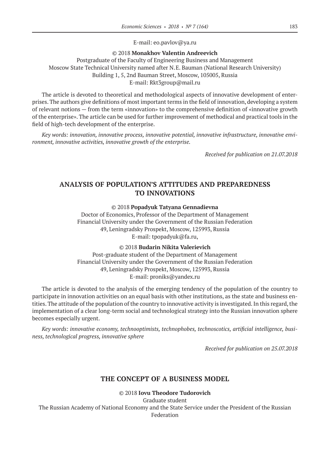E-mail: eo.pavlov@ya.ru

#### ©© 2018 **Monakhov Valentin Andreevich**

Postgraduate of the Faculty of Engineering Business and Management Moscow State Technical University named after N.E. Bauman (National Research University) Building 1, 5, 2nd Bauman Street, Moscow, 105005, Russia E-mail: Rkt3group@mail.ru

The article is devoted to theoretical and methodological aspects of innovative development of enterprises. The authors give definitions of most important terms in the field of innovation, developing a system of relevant notions — from the term «innovation» to the comprehensive definition of «innovative growth of the enterprise». The article can be used for further improvement of methodical and practical tools in the field of high-tech development of the enterprise.

*Key words: innovation, innovative process, innovative potential, innovative infrastructure, innovative environment, innovative activities, innovative growth of the enterprise.*

*Received for publication on 21.07.2018*

# **ANALYSIS OF POPULATION'S ATTITUDES AND PREPAREDNESS TO INNOVATIONS**

©© 2018 **Popadyuk Tatyana Gennadievna**

Doctor of Economics, Professor of the Department of Management Financial University under the Government of the Russian Federation 49, Leningradsky Prospekt, Moscow, 125993, Russia E-mail: tpopadyuk@fa.ru,

©© 2018 **Budarin Nikita Valerievich**

Post-graduate student of the Department of Management Financial University under the Government of the Russian Federation 49, Leningradsky Prospekt, Moscow, 125993, Russia E-mail: proniks@yandex.ru

The article is devoted to the analysis of the emerging tendency of the population of the country to participate in innovation activities on an equal basis with other institutions, as the state and business entities. The attitude of the population of the country to innovative activity is investigated. In this regard, the implementation of a clear long-term social and technological strategy into the Russian innovation sphere becomes especially urgent.

*Key words: innovative economy, technooptimists, technophobes, technoscotics, artificial intelligence, business, technological progress, innovative sphere*

*Received for publication on 25.07.2018*

# **THE CONCEPT OF A BUSINESS MODEL**

©© 2018 **Iovu Theodore Tudorovich**

Graduate student The Russian Academy of National Economy and the State Service under the President of the Russian Federation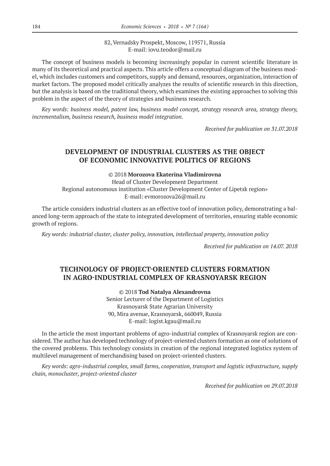#### 82, Vernadsky Prospekt, Moscow, 119571, Russia E-mail: iovu.teodor@mail.ru

The concept of business models is becoming increasingly popular in current scientific literature in many of its theoretical and practical aspects. This article offers a conceptual diagram of the business model, which includes customers and competitors, supply and demand, resources, organization, interaction of market factors. The proposed model critically analyzes the results of scientific research in this direction, but the analysis is based on the traditional theory, which examines the existing approaches to solving this problem in the aspect of the theory of strategies and business research.

*Key words: business model, patent law, business model concept, strategy research area, strategy theory, incrementalism, business research, business model integration.*

*Received for publication on 31.07.2018*

### **DEVELOPMENT OF INDUSTRIAL CLUSTERS AS THE OBJECT OF ECONOMIC INNOVATIVE POLITICS OF REGIONS**

©© 2018 **Morozova Ekaterina Vladimirovna**

Head of Cluster Development Department Regional autonomous institution «Cluster Development Center of Lipetsk region» E-mail: evmorozova26@mail.ru

The article considers industrial clusters as an effective tool of innovation policy, demonstrating a balanced long-term approach of the state to integrated development of territories, ensuring stable economic growth of regions.

*Key words: industrial cluster, cluster policy, innovation, intellectual property, innovation policy*

*Received for publication on 14.07. 2018*

# **TECHNOLOGY OF PROJECT-ORIENTED CLUSTERS FORMATION IN AGRO-INDUSTRIAL COMPLEX OF KRASNOYARSK REGION**

©© 2018 **Tod Natalya Alexandrovna** Senior Lecturer of the Department of Logistics Krasnoyarsk State Agrarian University 90, Mira avenue, Krasnoyarsk, 660049, Russia E-mail: logist.kgau@mail.ru

In the article the most important problems of agro-industrial complex of Krasnoyarsk region are considered. The author has developed technology of project-oriented clusters formation as one of solutions of the covered problems. This technology consists in creation of the regional integrated logistics system of multilevel management of merchandising based on project-oriented clusters.

*Key words: agro-industrial complex, small farms, cooperation, transport and logistic infrastructure, supply chain, monocluster, project-oriented cluster*

*Received for publication on 29.07.2018*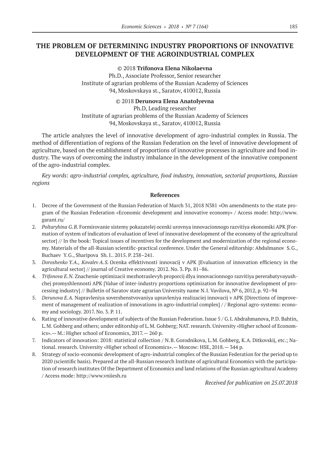# **THE PROBLEM OF DETERMINING INDUSTRY PROPORTIONS OF INNOVATIVE DEVELOPMENT OF THE AGROINDUSTRIAL COMPLEX**

©© 2018 **Trifonova Elena Nikolaevna**

Ph.D., Associate Professor, Senior researcher Institute of agrarian problems of the Russian Academy of Sciences 94, Moskovskaya st., Saratov, 410012, Russia

©© 2018 **Derunova Elena Anatolyevna**

Ph.D, Leading researcher Institute of agrarian problems of the Russian Academy of Sciences 94, Moskovskaya st., Saratov, 410012, Russia

The article analyzes the level of innovative development of agro-industrial complex in Russia. The method of differentiation of regions of the Russian Federation on the level of innovative development of agriculture, based on the establishment of proportions of innovative processes in agriculture and food industry. The ways of overcoming the industry imbalance in the development of the innovative component of the agro-industrial complex.

*Key words: agro-industrial complex, agriculture, food industry, innovation, sectorial proportions, Russian regions*

#### **References**

- 1. Decree of the Government of the Russian Federation of March 31, 2018 N381 «On amendments to the state program of the Russian Federation «Economic development and innovative economy» / Access mode: http://www. garant.ru/
- 2. *Poltaryhina G.B.* Formirovanie sistemy pokazatelej ocenki urovnya innovacionnogo razvitiya ekonomiki APK [Formation of system of indicators of evaluation of level of innovative development of the economy of the agricultural sector] // In the book: Topical issues of incentives for the development and modernization of the regional economy. Materials of the all-Russian scientific-practical conference. Under the General editorship: Abdulmanov S.G., Buchaev Y.G., Sharipova Sh. I.. 2015. P. 238–241.
- 3. *Doroshenko Y.A., Kovalev A.S.* Ocenka effektivnosti innovacij v APK [Evaluation of innovation efficiency in the agricultural sector] // journal of Creative economy. 2012. No. 3. Pp. 81–86.
- 4. *Trifonova E.N.* Znachenie optimizacii mezhotraslevyh proporcij dlya innovacionnogo razvitiya pererabatyvayushchej promyshlennosti APK [Value of inter-industry proportions optimization for innovative development of processing industry] // Bulletin of Saratov state agrarian University name N.I. Vavilova, № 6, 2012, p. 92–94
- 5. *Derunova E.A.* Napravleniya sovershenstvovaniya upravleniya realizaciej innovacij v APK [Directions of improvement of management of realization of innovations in agro-industrial complex] / / Regional agro-systems: economy and sociology. 2017. No. 3. P. 11.
- 6. Rating of innovative development of subjects of the Russian Federation. Issue 5 / G.I. Abdrahmanova, P.D. Bahtin, L.M. Gohberg and others; under editorship of L.M. Gohberg; NAT. research. University «Higher school of Economics».— M.: Higher school of Economics, 2017.— 260 p.
- 7. Indicators of innovation: 2018: statistical collection / N.B. Gorodnikova, L.M. Gohberg, K.A. Ditkovskij, etc.; National. research. University «Higher school of Economics».— Moscow: HSE, 2018.— 344 p.
- 8. Strategy of socio-economic development of agro-industrial complex of the Russian Federation for the period up to 2020 (scientific basis). Prepared at the all-Russian research Institute of agricultural Economics with the participation of research institutes Of the Department of Economics and land relations of the Russian agricultural Academy / Access mode: http://www.vniiesh.ru

*Received for publication on 25.07.2018*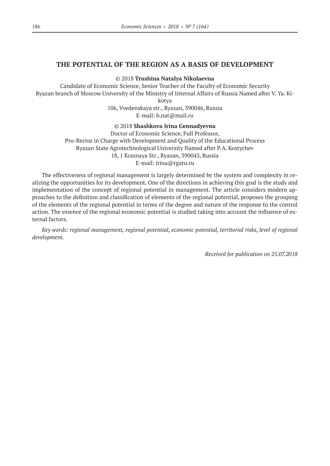### **THE POTENTIAL OF THE REGION AS A BASIS OF DEVELOPMENT**

©© 2018 **Trushina Natalya Nikolaevna**

Candidate of Economic Science, Senior Teacher of the Faculty of Economic Security Ryazan branch of Moscow University of the Ministry of Internal Affairs of Russia Named after V. Ya. Ki-

kotya

106, Vvedenskaya str., Ryazan, 390046, Russia E-mail: b.nat@mail.ru

©© 2018 **Shashkova Irina Gennadyevna**

Doctor of Economic Science, Full Professor, Pro-Rector in Charge with Development and Quality of the Educational Process Ryazan State Agrotechnological University Named after P.A. Kostychev 18, 1 Krasnaya Str., Ryazan, 390043, Russia E-mail: irina@rgatu.ru

The effectiveness of regional management is largely determined by the system and complexity in realizing the opportunities for its development. One of the directions in achieving this goal is the study and implementation of the concept of regional potential in management. The article considers modern approaches to the definition and classification of elements of the regional potential, proposes the grouping of the elements of the regional potential in terms of the degree and nature of the response to the control action. The essence of the regional economic potential is studied taking into account the influence of external factors.

*Key words: regional management, regional potential, economic potential, territorial risks, level of regional development.*

*Received for publication on 25.07.2018*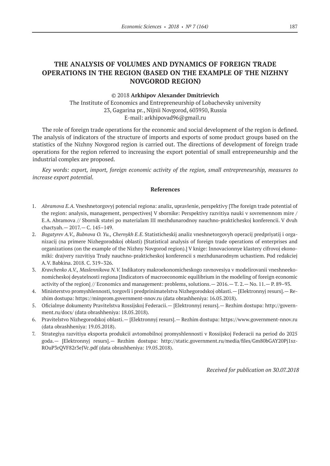# **THE ANALYSIS OF VOLUMES AND DYNAMICS OF FOREIGN TRADE OPERATIONS IN THE REGION (BASED ON THE EXAMPLE OF THE NIZHNY NOVGOROD REGION)**

#### ©© 2018 **Arkhipov Alexander Dmitrievich**

The Institute of Economics and Entrepreneurship of Lobachevsky university 23, Gagarina pr., Nijnii Novgorod, 603950, Russia E-mail: arkhipovad96@gmail.ru

The role of foreign trade operations for the economic and social development of the region is defined. The analysis of indicators of the structure of imports and exports of some product groups based on the statistics of the Nizhny Novgorod region is carried out. The directions of development of foreign trade operations for the region referred to increasing the export potential of small entrepreneurship and the industrial complex are proposed.

*Key words: export, import, foreign economic activity of the region, small entrepreneurship, measures to increase export potential.*

#### **References**

- 1. *Abramova E.A.* Vneshnetorgovyj potencial regiona: analiz, upravlenie, perspektivy [The foreign trade potential of the region: analysis, management, perspectives] V sbornike: Perspektivy razvitiya nauki v sovremennom mire / E.A. Abramova // Sbornik statei po materialam III mezhdunarodnoy nauchno-prakticheskoj konferencii. V dvuh chactyah.— 2017.— C. 145–149.
- 2. *Bogatyrev A.V., Bubnova O. Yu., Chernykh E.E.* Statisticheskij analiz vneshnetorgovyh operacij predpriyatij i organizacij (na primere Nizhegorodskoj oblasti) [Statistical analysis of foreign trade operations of enterprises and organizations (on the example of the Nizhny Novgorod region).] V knige: Innovacionnye klastery cifrovoj ekonomiki: drajvery razvitiya Trudy nauchno-prakticheskoj konferencii s mezhdunarodnym uchastiem. Pod redakciej A.V. Babkina. 2018. С. 319–326.
- 3. *Kravchenko A.V., Maslennikova N.V.* Indikatory makroekonomicheskogo ravnovesiya v modelirovanii vneshneekonomicheskoj deyatelnosti regiona [Indicators of macroeconomic equilibrium in the modeling of foreign economic activity of the region] // Economics and management: problems, solutions.— 2016.— T. 2.— No. 11.— P. 89–93.
- 4. Ministerstvo promyshlennosti, torgovli i predprinimatelstva Nizhegorodskoj oblasti.— [Elektronnyj resurs].— Rezhim dostupa: https://minprom.government-nnov.ru (data obrashheniya: 16.05.2018).
- 5. Oficialnye dokumenty Pravitelstva Rossijskoj Federacii.— [Elektronnyj resurs].— Rezhim dostupa: http://government.ru/docs/ (data obrashheniya: 18.05.2018).
- 6. Pravitelstvo Nizhegorodskoj oblasti.— [Elektronnyj resurs].— Rezhim dostupa: https://www.government-nnov.ru (data obrashheniya: 19.05.2018).
- 7. Strategiya razvitiya eksporta produkcii avtomobilnoj promyshlennosti v Rossijskoj Federacii na period do 2025 goda.— [Elektronnyj resurs].— Rezhim dostupa: http://static.government.ru/media/files/Gm80bGAY20Pj1sz-ROuP3rQVF82r3eJVc.pdf (data obrashheniya: 19.05.2018).

*Received for publication on 30.07.2018*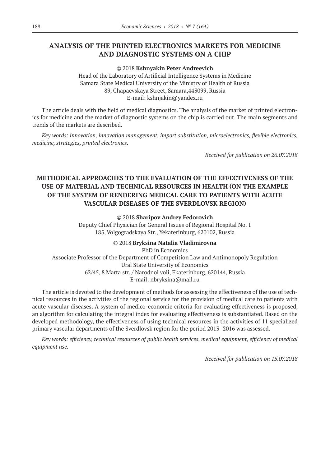# **ANALYSIS OF THE PRINTED ELECTRONICS MARKETS FOR MEDICINE AND DIAGNOSTIC SYSTEMS ON A CHIP**

©© 2018 **Kshnyakin Peter Andreevich**

Head of the Laboratory of Artificial Intelligence Systems in Medicine Samara State Medical University of the Ministry of Health of Russia 89, Chapaevskaya Street, Samara,443099, Russia E-mail: kshnjakin@yandex.ru

The article deals with the field of medical diagnostics. The analysis of the market of printed electronics for medicine and the market of diagnostic systems on the chip is carried out. The main segments and trends of the markets are described.

*Key words: innovation, innovation management, import substitution, microelectronics, flexible electronics, medicine, strategies, printed electronics.*

*Received for publication on 26.07.2018*

# **METHODICAL APPROACHES TO THE EVALUATION OF THE EFFECTIVENESS OF THE USE OF MATERIAL AND TECHNICAL RESOURCES IN HEALTH (ON THE EXAMPLE OF THE SYSTEM OF RENDERING MEDICAL CARE TO PATIENTS WITH ACUTE VASCULAR DISEASES OF THE SVERDLOVSK REGION)**

©© 2018 **Sharipov Andrey Fedorovich**

Deputy Chief Physician for General Issues of Regional Hospital No. 1 185, Volgogradskaya Str., Yekaterinburg, 620102, Russia

©© 2018 **Bryksina Natalia Vladimirovna**

PhD in Economics Associate Professor of the Department of Competition Law and Antimonopoly Regulation Ural State University of Economics 62/45, 8 Marta str. / Narodnoi voli, Ekaterinburg, 620144, Russia E-mail: nbryksina@mail.ru

The article is devoted to the development of methods for assessing the effectiveness of the use of technical resources in the activities of the regional service for the provision of medical care to patients with acute vascular diseases. A system of medico-economic criteria for evaluating effectiveness is proposed, an algorithm for calculating the integral index for evaluating effectiveness is substantiated. Based on the developed methodology, the effectiveness of using technical resources in the activities of 11 specialized primary vascular departments of the Sverdlovsk region for the period 2013–2016 was assessed.

*Key words: efficiency, technical resources of public health services, medical equipment, efficiency of medical equipment use.*

*Received for publication on 15.07.2018*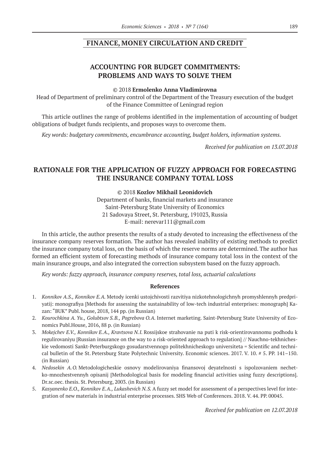#### **FINANCE, MONEY CIRCULATION AND CREDIT**

# **ACCOUNTING FOR BUDGET COMMITMENTS: PROBLEMS AND WAYS TO SOLVE THEM**

#### ©© 2018 **Ermolenko Anna Vladimirovna**

Head of Department of preliminary control of the Department of the Treasury execution of the budget of the Finance Committee of Leningrad region

This article outlines the range of problems identified in the implementation of accounting of budget obligations of budget funds recipients, and proposes ways to overcome them.

*Key words: budgetary commitments, encumbrance accounting, budget holders, information systems.*

*Received for publication on 13.07.2018*

# **RATIONALE FOR THE APPLICATION OF FUZZY APPROACH FOR FORECASTING THE INSURANCE COMPANY TOTAL LOSS**

#### ©© 2018 **Kozlov Mikhail Leonidovich**

Department of banks, financial markets and insurance Saint-Petersburg State University of Economics 21 Sadovaya Street, St. Petersburg, 191023, Russia E-mail: nerevar111@gmail.com

In this article, the author presents the results of a study devoted to increasing the effectiveness of the insurance company reserves formation. The author has revealed inability of existing methods to predict the insurance company total loss, on the basis of which the reserve norms are determined. The author has formed an efficient system of forecasting methods of insurance company total loss in the context of the main insurance groups, and also integrated the correction subsystem based on the fuzzy approach.

*Key words: fuzzy approach, insurance company reserves, total loss, actuarial calculations*

#### **References**

- 1. *Konnikov A.S., Konnikov E.A.* Metody icenki ustojchivosti razvitiya nizkotehnologichnyh promyshlennyh predpriyatij: monografiya [Methods for assessing the sustainability of low-tech industrial enterprises: monograph] Kazan: "BUK" Publ. house, 2018, 144 pp. (in Russian)
- 2. *Kourochkina A. Yu., Golubtsov S.B., Pogrebova O.A.* Internet marketing. Saint-Petersburg State University of Economics Publ.House, 2016, 88 p. (in Russian)
- 3. *Mokejchev E.V., Konnikov E.A., Kravtsova N.I.* Rossijskoe strahovanie na puti k risk-orientirovannomu podhodu k regulirovaniyu [Russian insurance on the way to a risk-oriented approach to regulation] // Nauchno-tekhnicheskie vedomosti Sankt-Peterburgskogo gosudarstvennogo politekhnicheskogo universiteta = Scientific and technical bulletin of the St. Petersburg State Polytechnic University. Economic sciences. 2017. V. 10. # 5. PP. 141–150. (in Russian)
- 4. *Nedosekin A.O.* Metodologicheskie osnovy modelirovaniya finansovoj deyatelnosti s ispolzovaniem nechetko-mnozhestvennyh opisanij [Methodological basis for modeling financial activities using fuzzy descriptions]. Dr.sc.oec. thesis. St. Petersburg, 2003. (in Russian)
- 5. *Kasyanenko E.O., Konnikov E.A., Lukashevich N.S.* A fuzzy set model for assessment of a perspectives level for integration of new materials in industrial enterprise processes. SHS Web of Conferences. 2018. V. 44. PP. 00045.

*Received for publication on 12.07.2018*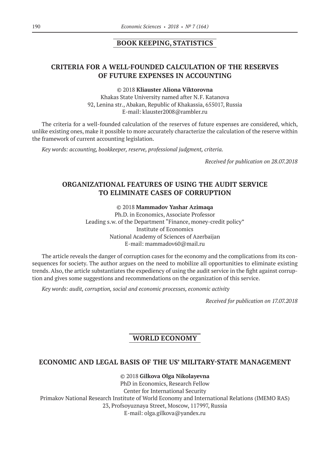### **BOOK KEEPING, STATISTICS**

# **CRITERIA FOR A WELL-FOUNDED CALCULATION OF THE RESERVES OF FUTURE EXPENSES IN ACCOUNTING**

©© 2018 **Kliauster Aliona Viktorovna**

Khakas State University named after N.F. Katanova 92, Lenina str., Abakan, Republic of Khakassia, 655017, Russia E-mail: klauster2008@rambler.ru

The criteria for a well-founded calculation of the reserves of future expenses are considered, which, unlike existing ones, make it possible to more accurately characterize the calculation of the reserve within the framework of current accounting legislation.

*Key words: accounting, bookkeeper, reserve, professional judgment, criteria.*

*Received for publication on 28.07.2018*

# **ORGANIZATIONAL FEATURES OF USING THE AUDIT SERVICE TO ELIMINATE CASES OF CORRUPTION**

©© 2018 **Mammadov Yashar Azimaqa**

Ph.D. in Economics, Associate Professor Leading s.w. of the Department "Finance, money-credit policy" Institute of Economics National Academy of Sciences of Azerbaijan E-mail: mammadov60@mail.ru

The article reveals the danger of corruption cases for the economy and the complications from its consequences for society. The author argues on the need to mobilize all opportunities to eliminate existing trends. Also, the article substantiates the expediency of using the audit service in the fight against corruption and gives some suggestions and recommendations on the organization of this service.

*Key words: audit, corruption, social and economic processes, economic activity*

*Received for publication on 17.07.2018*

# **WORLD ECONOMY**

#### **ECONOMIC AND LEGAL BASIS OF THE US' MILITARY-STATE MANAGEMENT**

©© 2018 **Gilkova Olga Nikolayevna**

PhD in Economics, Research Fellow Center for International Security Primakov National Research Institute of World Economy and International Relations (IMEMO RAS) 23, Profsoyuznaya Street, Moscow, 117997, Russia E-mail: olga.gilkova@yandex.ru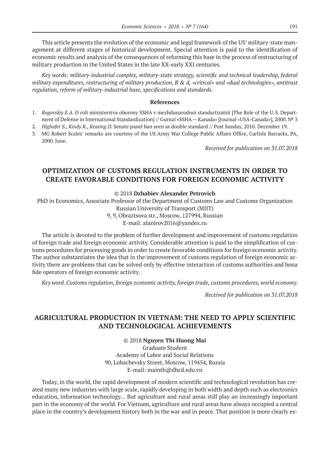This article presents the evolution of the economic and legal framework of the US' military-state management at different stages of historical development. Special attention is paid to the identification of economic results and analysis of the consequences of reforming this base in the process of restructuring of military production in the United States in the late XX-early XXI centuries.

*Key words: military-industrial complex, military-state strategy, scientific and technical leadership, federal military expenditures, restructuring of military production, R & d, «critical» and «dual technologies», antitrust regulation, reform of military-industrial base, specifications and standards.*

#### **References**

- 1. *Rogovskiy E.A.* O roli ministerstva oborony SSHA v mezhdunarodnoi standartizatsii [The Role of the U.S. Department of Defense in International Standardization] // Gurnal «SSHA — Kanada» [Journal «USA-Canada»], 2000. № 3
- 2. *Highafer S., Kindy K., Keating D.* Senate panel ban seen as double standard // Post Sunday, 2010. December 19.
- 3. MG Robert Scales' remarks are courtesy of the US Army War College Public Affairs Office, Carlisle Barracks, PA, 2000. June.

*Received for publication on 31.07.2018*

# **OPTIMIZATION OF CUSTOMS REGULATION INSTRUMENTS IN ORDER TO CREATE FAVORABLE CONDITIONS FOR FOREIGN ECONOMIC ACTIVITY**

#### ©© 2018 **Dzhabiev Alexander Petrovich**

PhD in Economics, Associate Professor of the Department of Customs Law and Customs Organization Russian University of Transport (MIIT)

> 9, 9, Obraztsova str., Moscow, 127994, Russian E-mail: alanirov2016@yandex.ru

The article is devoted to the problem of further development and improvement of customs regulation of foreign trade and foreign economic activity. Considerable attention is paid to the simplification of customs procedures for processing goods in order to create favorable conditions for foreign economic activity. The author substantiates the idea that in the improvement of customs regulation of foreign economic activity there are problems that can be solved only by effective interaction of customs authorities and bona fide operators of foreign economic activity.

*Key word. Customs regulation, foreign economic activity, foreign trade, customs procedures, world economy.*

*Received for publication on 31.07.2018*

# **AGRICULTURAL PRODUCTION IN VIETNAM: THE NEED TO APPLY SCIENTIFIC AND TECHNOLOGICAL ACHIEVEMENTS**

©© 2018 **Nguyen Thi Huong Mai** Graduate Student Academy of Labor and Social Relations 90, Lobachevsky Street, Moscow, 119454, Russia E-mail: mainth@dhcd.edu.vn

Today, in the world, the rapid development of modern scientific and technological revolution has created many new industries with large scale, rapidly developing in both width and depth such as electronics education, information technology… But agriculture and rural areas still play an increasingly important part in the economy of the world. For Vietnam, agriculture and rural areas have always occupied a central place in the country's development history both in the war and in peace. That position is more clearly ex